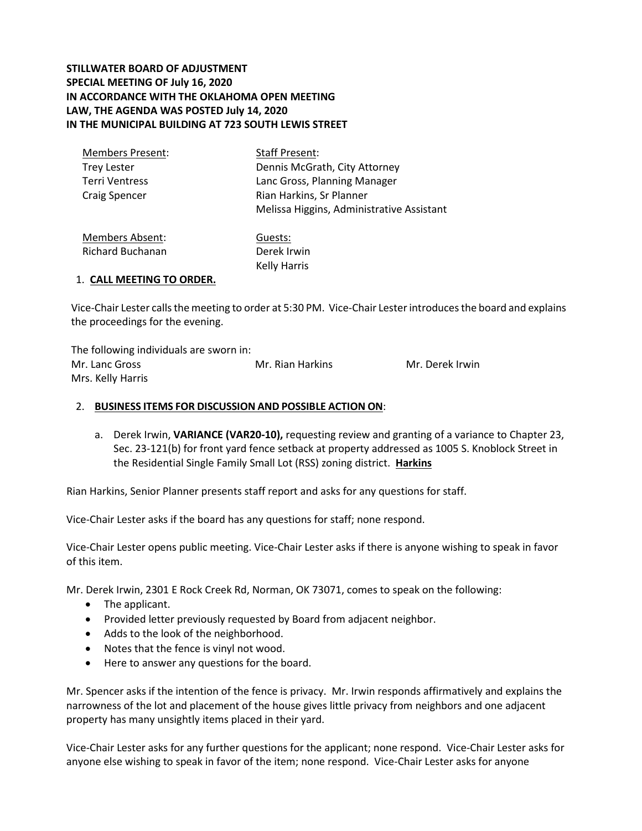## **STILLWATER BOARD OF ADJUSTMENT SPECIAL MEETING OF July 16, 2020 IN ACCORDANCE WITH THE OKLAHOMA OPEN MEETING LAW, THE AGENDA WAS POSTED July 14, 2020 IN THE MUNICIPAL BUILDING AT 723 SOUTH LEWIS STREET**

| Staff Present:                            |
|-------------------------------------------|
| Dennis McGrath, City Attorney             |
| Lanc Gross, Planning Manager              |
| Rian Harkins, Sr Planner                  |
| Melissa Higgins, Administrative Assistant |
|                                           |

Members Absent: Richard Buchanan Guests: Derek Irwin Kelly Harris

### 1. **CALL MEETING TO ORDER.**

Vice-Chair Lester calls the meeting to order at 5:30 PM. Vice-Chair Lesterintroduces the board and explains the proceedings for the evening.

The following individuals are sworn in: Mr. Lanc Gross Mr. Rian Harkins Mr. Derek Irwin Mrs. Kelly Harris

## 2. **BUSINESS ITEMS FOR DISCUSSION AND POSSIBLE ACTION ON**:

a. Derek Irwin, **VARIANCE (VAR20-10),** requesting review and granting of a variance to Chapter 23, Sec. 23-121(b) for front yard fence setback at property addressed as 1005 S. Knoblock Street in the Residential Single Family Small Lot (RSS) zoning district. **Harkins**

Rian Harkins, Senior Planner presents staff report and asks for any questions for staff.

Vice-Chair Lester asks if the board has any questions for staff; none respond.

Vice-Chair Lester opens public meeting. Vice-Chair Lester asks if there is anyone wishing to speak in favor of this item.

Mr. Derek Irwin, 2301 E Rock Creek Rd, Norman, OK 73071, comes to speak on the following:

- The applicant.
- Provided letter previously requested by Board from adjacent neighbor.
- Adds to the look of the neighborhood.
- Notes that the fence is vinyl not wood.
- Here to answer any questions for the board.

Mr. Spencer asks if the intention of the fence is privacy. Mr. Irwin responds affirmatively and explains the narrowness of the lot and placement of the house gives little privacy from neighbors and one adjacent property has many unsightly items placed in their yard.

Vice-Chair Lester asks for any further questions for the applicant; none respond. Vice-Chair Lester asks for anyone else wishing to speak in favor of the item; none respond. Vice-Chair Lester asks for anyone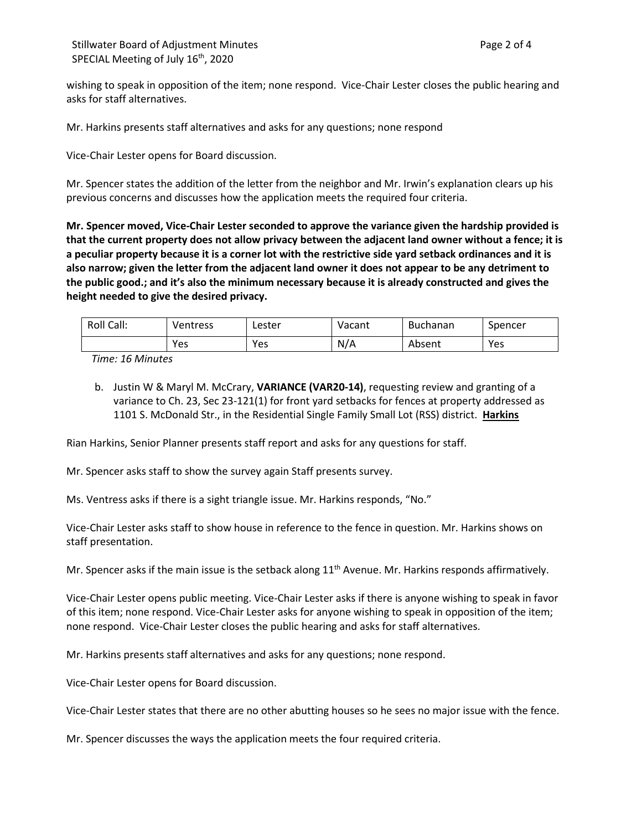wishing to speak in opposition of the item; none respond. Vice-Chair Lester closes the public hearing and asks for staff alternatives.

Mr. Harkins presents staff alternatives and asks for any questions; none respond

Vice-Chair Lester opens for Board discussion.

Mr. Spencer states the addition of the letter from the neighbor and Mr. Irwin's explanation clears up his previous concerns and discusses how the application meets the required four criteria.

**Mr. Spencer moved, Vice-Chair Lester seconded to approve the variance given the hardship provided is that the current property does not allow privacy between the adjacent land owner without a fence; it is a peculiar property because it is a corner lot with the restrictive side yard setback ordinances and it is also narrow; given the letter from the adjacent land owner it does not appear to be any detriment to the public good.; and it's also the minimum necessary because it is already constructed and gives the height needed to give the desired privacy.** 

| Roll Call: | Ventress | ∟ester | Vacant | <b>Buchanan</b> | Spencer |
|------------|----------|--------|--------|-----------------|---------|
|            | Yes      | Yes    | N/A    | Absent          | Yes     |

*Time: 16 Minutes*

b. Justin W & Maryl M. McCrary, **VARIANCE (VAR20-14)**, requesting review and granting of a variance to Ch. 23, Sec 23-121(1) for front yard setbacks for fences at property addressed as 1101 S. McDonald Str., in the Residential Single Family Small Lot (RSS) district. **Harkins**

Rian Harkins, Senior Planner presents staff report and asks for any questions for staff.

Mr. Spencer asks staff to show the survey again Staff presents survey.

Ms. Ventress asks if there is a sight triangle issue. Mr. Harkins responds, "No."

Vice-Chair Lester asks staff to show house in reference to the fence in question. Mr. Harkins shows on staff presentation.

Mr. Spencer asks if the main issue is the setback along  $11<sup>th</sup>$  Avenue. Mr. Harkins responds affirmatively.

Vice-Chair Lester opens public meeting. Vice-Chair Lester asks if there is anyone wishing to speak in favor of this item; none respond. Vice-Chair Lester asks for anyone wishing to speak in opposition of the item; none respond. Vice-Chair Lester closes the public hearing and asks for staff alternatives.

Mr. Harkins presents staff alternatives and asks for any questions; none respond.

Vice-Chair Lester opens for Board discussion.

Vice-Chair Lester states that there are no other abutting houses so he sees no major issue with the fence.

Mr. Spencer discusses the ways the application meets the four required criteria.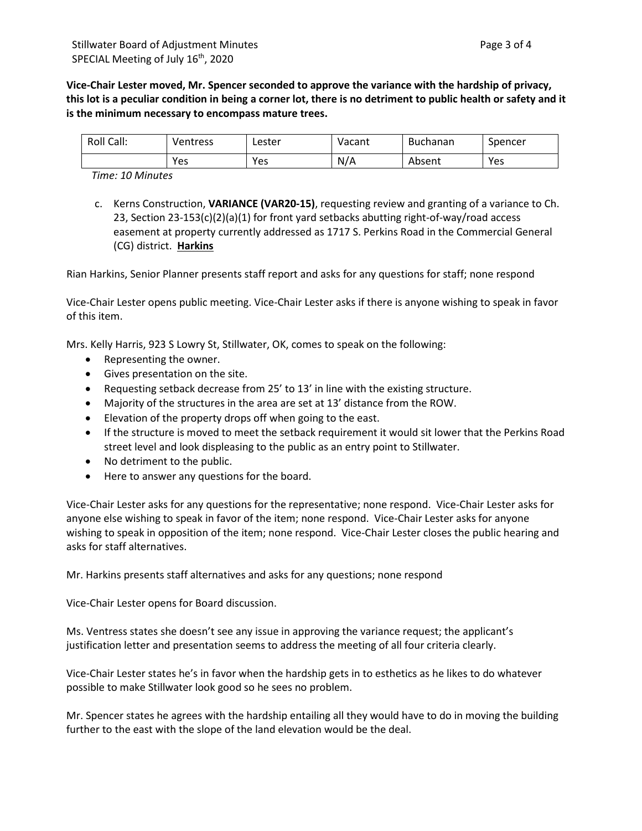**Vice-Chair Lester moved, Mr. Spencer seconded to approve the variance with the hardship of privacy, this lot is a peculiar condition in being a corner lot, there is no detriment to public health or safety and it is the minimum necessary to encompass mature trees.** 

| Roll Call: | Ventress | Lester | Vacant | <b>Buchanan</b> | Spencer |
|------------|----------|--------|--------|-----------------|---------|
|            | Yes      | Yes    | N/A    | Absent          | Yes     |

*Time: 10 Minutes*

c. Kerns Construction, **VARIANCE (VAR20-15)**, requesting review and granting of a variance to Ch. 23, Section 23-153(c)(2)(a)(1) for front yard setbacks abutting right-of-way/road access easement at property currently addressed as 1717 S. Perkins Road in the Commercial General (CG) district. **Harkins**

Rian Harkins, Senior Planner presents staff report and asks for any questions for staff; none respond

Vice-Chair Lester opens public meeting. Vice-Chair Lester asks if there is anyone wishing to speak in favor of this item.

Mrs. Kelly Harris, 923 S Lowry St, Stillwater, OK, comes to speak on the following:

- Representing the owner.
- Gives presentation on the site.
- Requesting setback decrease from 25' to 13' in line with the existing structure.
- Majority of the structures in the area are set at 13' distance from the ROW.
- Elevation of the property drops off when going to the east.
- If the structure is moved to meet the setback requirement it would sit lower that the Perkins Road street level and look displeasing to the public as an entry point to Stillwater.
- No detriment to the public.
- Here to answer any questions for the board.

Vice-Chair Lester asks for any questions for the representative; none respond. Vice-Chair Lester asks for anyone else wishing to speak in favor of the item; none respond. Vice-Chair Lester asks for anyone wishing to speak in opposition of the item; none respond. Vice-Chair Lester closes the public hearing and asks for staff alternatives.

Mr. Harkins presents staff alternatives and asks for any questions; none respond

Vice-Chair Lester opens for Board discussion.

Ms. Ventress states she doesn't see any issue in approving the variance request; the applicant's justification letter and presentation seems to address the meeting of all four criteria clearly.

Vice-Chair Lester states he's in favor when the hardship gets in to esthetics as he likes to do whatever possible to make Stillwater look good so he sees no problem.

Mr. Spencer states he agrees with the hardship entailing all they would have to do in moving the building further to the east with the slope of the land elevation would be the deal.